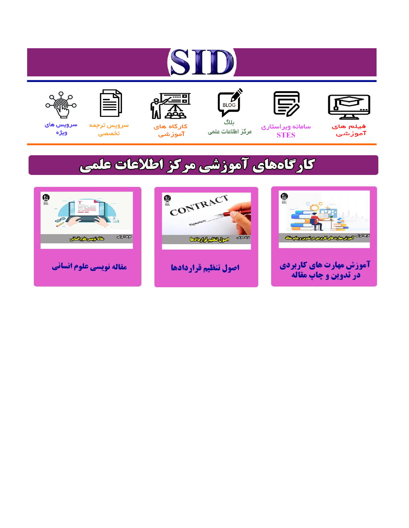# ST











ىلاگ



مرکز اطلاعات علمی

 $\frac{1}{\sqrt{\frac{1}{100}}}$ 

Cologie Legislation

کارگاه های آموزشي

空

ققق

 $\begin{matrix} \textcircled{\footnotesize{A}}\\ \textcircled{\footnotesize{B}} \end{matrix}$ 

سرويس ترجمه تخصصى



سرویس های ويژه

كارگاههای آموزشی مركز اطلاعات علمی

CONTRACT

اصول تنظيم قراردادها



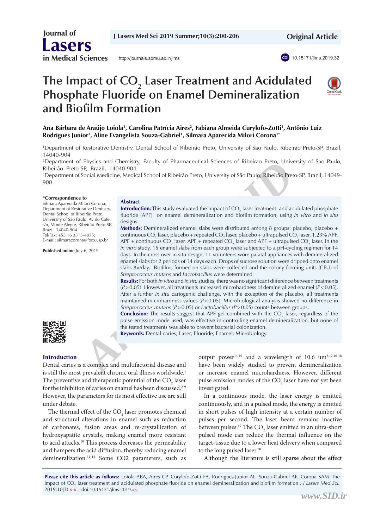**Journal of Lasers in Medical Sciences**

<http://journals.sbmu.ac.ir/jlms>





# **The Impact of CO<sub>2</sub> Laser Treatment and Acidulated Phosphate Fluoride on Enamel Demineralization and Biofilm Formation**



#### **Ana Bárbara de Araújo Loiola1 , Carolina Patrícia Aires2 , Fabiana Almeida Curylofo-Zotti1 , Antônio Luiz Rodrigues Junior3 , Aline Evangelista Souza-Gabriel1 , Silmara Aparecida Milori Corona1\***

1 Department of Restorative Dentistry, Dental School of Ribeirão Preto, University of São Paulo, Ribeirão Preto-SP, Brazil, 14040-904

2 Department of Physics and Chemistry, Faculty of Pharmaceutical Sciences of Ribeirao Preto, University of Sao Paulo, Ribeirão Preto-SP, Brazil, 14040-904

3 Department of Social Medicine, Medical School of Ribeirão Preto, University of São Paulo, Ribeirão Preto-SP, Brazil, 14049- 900

#### **\*Correspondence to**

Silmara Aparecida Milori Corona, Department of Restorative Dentistry, Dental School of Ribeirão Preto, University of São Paulo, Av do Café, s/n, Monte Alegre, Ribeirão Preto-SP, Brazil, 14040-904. Tel/Fax: +55 16 3315-4075; E-mail: silmaracorona@forp.usp.br

**Published online** July 6, 2019

#### **Abstract**

**Introduction:** This study evaluated the impact of CO<sub>2</sub> laser treatment and acidulated phosphate fluoride (APF) on enamel demineralization and biofilm formation, using *in vitro* and *in situ* designs.

*Physics and Chemistry, Faculty of Pharmaceutical Sciences of Ribeirao Preto, University<br>
SP, Brazil, 14040-904<br>
Social Medicine, Medical School of Ribeirão Preto, University of São Paulo, Ribeirão Preto-SP<br>
Social Medicin* **Methods:** Demineralized enamel slabs were distributed among 8 groups: placebo, placebo + continuous CO<sub>2</sub> laser, placebo + repeated CO<sub>2</sub> laser, placebo + ultrapulsed CO<sub>2</sub> laser, 1.23% APF, APF + continuous CO<sub>2</sub> laser, APF + repeated CO<sub>2</sub> laser and APF + ultrapulsed CO<sub>2</sub> laser. In the *in vitro* study, 15 enamel slabs from each group were subjected to a pH-cycling regimen for 14 days. In the cross over in situ design, 11 volunteers wore palatal appliances with demineralized enamel slabs for 2 periods of 14 days each. Drops of sucrose solution were dripped onto enamel slabs 8×/day. Biofilms formed on slabs were collected and the colony-forming units (CFU) of *Streptococcus mutans* and *Lactobacillus* were determined.

**Results:** For both *in vitro* and *in situ* studies, there was no significant difference between treatments (*P*>0.05). However, all treatments increased microhardness of demineralized enamel (*P*<0.05). After a further *in situ* cariogenic challenge, with the exception of the placebo, all treatments maintained microhardness values (*P*<0.05). Microbiological analysis showed no difference in *Streptococcus mutans* (*P*>0.05) or *Lactobacillus* (*P*>0.05) counts between groups.

**Conclusion:** The results suggest that APF gel combined with the CO<sub>2</sub> laser, regardless of the pulse emission mode used, was effective in controlling enamel demineralization, but none of the tested treatments was able to prevent bacterial colonization.

**Keywords:** Dental caries; Laser; Fluoride; Enamel; Microbiology.



#### **Introduction**

Dental caries is a complex and multifactorial disease and is still the most prevalent chronic oral illness worldwide.<sup>1</sup> The preventive and therapeutic potential of the  $\mathrm{CO}_2$  laser for the inhibition of caries on enamel has been discussed.2-9 However, the parameters for its most effective use are still under debate.

The thermal effect of the  $CO<sub>2</sub>$  laser promotes chemical and structural alterations in enamel such as reduction of carbonates, fusion areas and re-crystallization of hydroxyapatite crystals, making enamel more resistant to acid attacks.<sup>10</sup> This process decreases the permeability and hampers the acid diffusion, thereby reducing enamel demineralization.11-13 Some CO2 parameters, such as

output power<sup>14,15</sup> and a wavelength of 10.6  $um^{3,12,16-18}$ have been widely studied to prevent demineralization or increase enamel microhardness. However, different pulse emission modes of the  $\mathrm{CO}_2$  laser have not yet been investigated.

In a continuous mode, the laser energy is emitted continuously, and in a pulsed mode, the energy is emitted in short pulses of high intensity at a certain number of pulses per second. The laser beam remains inactive between pulses.<sup>19</sup> The  $\mathrm{CO}_2$  laser emitted in an ultra-short pulsed mode can reduce the thermal influence on the target-tissue due to a lower heat delivery when compared to the long pulsed laser.<sup>20</sup>

Although the literature is still sparse about the effect

**Please cite this article as follows:** Loiola ABA, Aires CP, Curylofo-Zotti FA, Rodrigues-Junior AL, Souza-Gabriel AE, Corona SAM. The impact of CO<sub>2</sub> laser treatment and acidulated phosphate fluoride on enamel demineralization and biofilm formation . *J Lasers Med Sci*. 2019;10(3):x-x. doi:10.15171/jlms.2019.xx.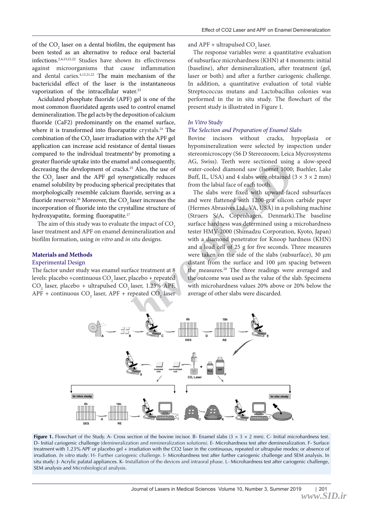of the  $CO_2$  laser on a dental biofilm, the equipment has been tested as an alternative to reduce oral bacterial infections.2,4,13,21,22 Studies have shown its effectiveness against microorganisms that cause inflammation and dental caries.4,13,21,22 The main mechanism of the bactericidal effect of the laser is the instantaneous vaporization of the intracellular water.<sup>23</sup>

Acidulated phosphate fluoride (APF) gel is one of the most common fluoridated agents used to control enamel demineralization. The gel acts by the deposition of calcium fluoride (CaF2) predominantly on the enamel surface, where it is transformed into fluorapatite crystals.<sup>24</sup> The combination of the  $\mathrm{CO}_2$  laser irradiation with the APF gel application can increase acid resistance of dental tissues compared to the individual treatments<sup>6</sup> by promoting a greater fluoride uptake into the enamel and consequently, decreasing the development of cracks.<sup>25</sup> Also, the use of the  $CO<sub>2</sub>$  laser and the APF gel synergistically reduces enamel solubility by producing spherical precipitates that morphologically resemble calcium fluoride, serving as a fluoride reservoir.<sup>26</sup> Moreover, the CO<sub>2</sub> laser increases the incorporation of fluoride into the crystalline structure of hydroxyapatite, forming fluorapatite.<sup>27</sup>

The aim of this study was to evaluate the impact of CO<sub>2</sub> laser treatment and APF on enamel demineralization and biofilm formation, using *in vitro* and *in situ* designs.

#### **Materials and Methods**

#### Experimental Design

The factor under study was enamel surface treatment at 8 levels: placebo +continuous CO<sub>2</sub> laser, placebo + repeated  $CO<sub>2</sub>$  laser, placebo + ultrapulsed  $CO<sub>2</sub>$  laser, 1.23% APF,  $APF + \text{continuous CO}_2$  laser,  $APF + \text{repeated CO}_2$  laser and  $APF + ultrapulsed CO<sub>2</sub> laser.$ 

The response variables were: a quantitative evaluation of subsurface microhardness (KHN) at 4 moments: initial (baseline), after demineralization, after treatment (gel, laser or both) and after a further cariogenic challenge. In addition, a quantitative evaluation of total viable Streptococcus mutans and Lactobacillus colonies was performed in the in situ study. The flowchart of the present study is illustrated in Figure 1.

#### *In Vitro* Study

#### *The Selection and Preparation of Enamel Slabs*

Bovine incisors without cracks, hypoplasia or hypomineralization were selected by inspection under stereomicroscopy (S6 D Stereozoom; Leica Mycrosystems AG, Swiss). Teeth were sectioned using a slow-speed water-cooled diamond saw (Isomet 1000; Buehler, Lake Buff, IL, USA) and 4 slabs were obtained  $(3 \times 3 \times 2 \text{ mm})$ from the labial face of each tooth.

The slabs were fixed with upward-faced subsurfaces and were flattened with 1200-grit silicon carbide paper (Hermes Abrasives Ltd., VA, USA) in a polishing machine (Struers S/A, Copenhagen, Denmark).The baseline surface hardness was determined using a microhardness tester HMV-2000 (Shimadzu Corporation, Kyoto, Japan) with a diamond penetrator for Knoop hardness (KHN) and a load cell of 25 g for five seconds. Three measures were taken on the side of the slabs (subsurface), 30 μm distant from the surface and 100 μm spacing between the measures.<sup>28</sup> The three readings were averaged and the outcome was used as the value of the slab. Specimens with microhardness values 20% above or 20% below the average of other slabs were discarded.



**Figure 1.** Flowchart of the Study. A- Cross section of the bovine incisor. B- Enamel slabs  $(3 \times 3 \times 2 \text{ mm})$ . C- Initial microhardness test. D- Initial cariogenic challenge (demineralization and remineralization solutions)*.* E- Microhardness test after demineralization. F- Surface treatment with 1.23% APF or placebo gel + irradiation with the CO2 laser in the continuous, repeated or ultrapulse modes; or absence of irradiation. *In vitro* study: H- Further cariogenic challenge. I- Microhardness test after further cariogenic challenge and SEM analysis. In situ study: J- Acrylic palatal appliances. K- Installation of the devices and intraoral phase. L- Microhardness test after cariogenic challenge, SEM analysis and Microbiological analysis.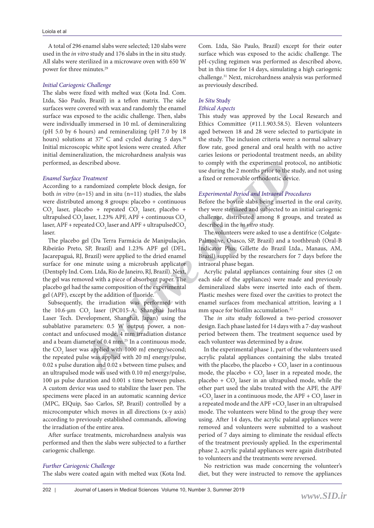A total of 296 enamel slabs were selected; 120 slabs were used in the *in vitro* study and 176 slabs in the in situ study. All slabs were sterilized in a microwave oven with 650 W power for three minutes.29

#### *Initial Cariogenic Challenge*

The slabs were fixed with melted wax (Kota Ind. Com. Ltda, São Paulo, Brazil) in a teflon matrix. The side surfaces were covered with wax and randomly the enamel surface was exposed to the acidic challenge. Then, slabs were individually immersed in 10 mL of demineralizing (pH 5.0 by 6 hours) and remineralizing (pH 7.0 by 18 hours) solutions at 37° C and cycled during 5 days.<sup>30</sup> Initial microscopic white spot lesions were created. After initial demineralization, the microhardness analysis was performed, as described above.

# *Enamel Surface Treatment*

According to a randomized complete block design, for both *in vitro* (n=15) and in situ (n=11) studies, the slabs were distributed among 8 groups: placebo + continuous  $\rm CO_2$  laser, placebo + repeated  $\rm CO_2$  laser, placebo + ultrapulsed CO<sub>2</sub> laser, 1.23% APF, APF + continuous CO<sub>2</sub> laser, APF + repeated CO<sub>2</sub> laser and APF + ultrapulsedCO<sub>2</sub> laser.

The placebo gel (Da Terra Farmácia de Manipulação, Ribeirão Preto, SP, Brazil) and 1.23% APF gel (DFL, Jacarepaguá, RJ, Brazil) were applied to the dried enamel surface for one minute using a microbrush applicator (Dentsply Ind. Com. Ltda, Rio de Janeiro, RJ, Brazil). Next, the gel was removed with a piece of absorbent paper. The placebo gel had the same composition of the experimental gel (APF), except by the addition of fluoride.

described above.<br>
Yo comply with the experimental protoco use during the 2 months prior to the study<br>
and in situ (n=11) studies, the slabs<br>
archive of removable orthodontic device.<br>
Archive of the slabs<br>
Archive of the bo Subsequently, the irradiation was performed with the 10.6-μm  $CO<sub>2</sub>$  laser (PC015-A; Shanghai JueHua Laser Tech. Development, Shanghai, Japan) using the subablative parameters: 0.5 W output power, a noncontact and unfocused mode, 4 mm irradiation distance and a beam diameter of 0.4 mm.25 In a continuous mode, the  $\mathrm{CO}_2$  laser was applied with 1000 mJ energy/second; the repeated pulse was applied with 20 mJ energy/pulse, 0.02 s pulse duration and 0.02 s between time pulses; and an ultrapulsed mode was used with 0.10 mJ energy/pulse, 100 µs pulse duration and 0.001 s time between pulses. A custom device was used to stabilize the laser pen. The specimens were placed in an automatic scanning device (MPC, ElQuip, Sao Carlos, SP, Brazil) controlled by a microcomputer which moves in all directions (x-y axis) according to previously established commands, allowing the irradiation of the entire area.

After surface treatments, microhardness analysis was performed and then the slabs were subjected to a further cariogenic challenge.

#### *Further Cariogenic Challenge*

The slabs were coated again with melted wax (Kota Ind.

Com. Ltda, São Paulo, Brazil) except for their outer surface which was exposed to the acidic challenge. The pH-cycling regimen was performed as described above, but in this time for 14 days, simulating a high cariogenic challenge.31 Next, microhardness analysis was performed as previously described.

### *In Situ* Study

#### *Ethical Aspects*

This study was approved by the Local Research and Ethics Committee (#11.1.903.58.5). Eleven volunteers aged between 18 and 28 were selected to participate in the study. The inclusion criteria were: a normal salivary flow rate, good general and oral health with no active caries lesions or periodontal treatment needs, an ability to comply with the experimental protocol, no antibiotic use during the 2 months prior to the study, and not using a fixed or removable orthodontic device.

# *Experimental Period and Intraoral Procedures*

Before the bovine slabs being inserted in the oral cavity, they were sterilized and subjected to an initial cariogenic challenge, distributed among 8 groups, and treated as described in the *in vitro* study.

The volunteers were asked to use a dentifrice (Colgate-Palmolive, Osasco, SP, Brazil) and a toothbrush (Oral-B Indicator Plus; Gillette do Brazil Ltda., Manaus, AM, Brazil) supplied by the researchers for 7 days before the intraoral phase began.

Acrylic palatal appliances containing four sites (2 on each side of the appliances) were made and previously demineralized slabs were inserted into each of them. Plastic meshes were fixed over the cavities to protect the enamel surfaces from mechanical attrition, leaving a 1 mm space for biofilm accumulation.<sup>32</sup>

The *in situ* study followed a two-period crossover design. Each phase lasted for 14 days with a 7-day washout period between them. The treatment sequence used by each volunteer was determined by a draw.

In the experimental phase 1, part of the volunteers used acrylic palatal appliances containing the slabs treated with the placebo, the placebo +  $CO_2$  laser in a continuous mode, the placebo +  $CO_2$  laser in a repeated mode, the placebo +  $CO_2$  laser in an ultrapulsed mode, while the other part used the slabs treated with the APF, the APF +CO<sub>2</sub> laser in a continuous mode, the APF + CO<sub>2</sub> laser in a repeated mode and the APF +CO<sub>2</sub> laser in an ultrapulsed mode. The volunteers were blind to the group they were using. After 14 days, the acrylic palatal appliances were removed and volunteers were submitted to a washout period of 7 days aiming to eliminate the residual effects of the treatment previously applied. In the experimental phase 2, acrylic palatal appliances were again distributed to volunteers and the treatments were reversed.

No restriction was made concerning the volunteer's diet, but they were instructed to remove the appliances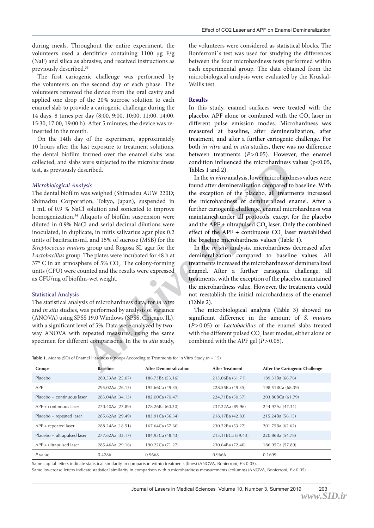during meals. Throughout the entire experiment, the volunteers used a dentifrice containing 1100 µg F/g (NaF) and silica as abrasive, and received instructions as previously described.<sup>33</sup>

The first cariogenic challenge was performed by the volunteers on the second day of each phase. The volunteers removed the device from the oral cavity and applied one drop of the 20% sucrose solution to each enamel slab to provide a cariogenic challenge during the 14 days, 8 times per day (8:00, 9:00, 10:00, 11:00, 14:00, 15:30, 17:00, 19:00 h). After 5 minutes, the device was reinserted in the mouth.

On the 14th day of the experiment, approximately 10 hours after the last exposure to treatment solutions, the dental biofilm formed over the enamel slabs was collected, and slabs were subjected to the microhardness test, as previously described.

#### *Microbiological Analysis*

*Archive Singure Singure 1* (*Dolution influenced* the microhardness value<br> *Archive in Tables* 1 and 2).<br> *Archive and the in virto analysis* (*Namadzu AUW* 220D;<br> *Archive of exception of the placebo, all treatments<br>
any* The dental biofilm was weighed (Shimadzu AUW 220D; Shimadzu Corporation, Tokyo, Japan), suspended in 1 mL of 0.9 % NaCl solution and sonicated to improve homogenization.<sup>34</sup> Aliquots of biofilm suspension were diluted in 0.9% NaCl and serial decimal dilutions were inoculated, in duplicate, in mitis salivarius agar plus 0.2 units of bacitracin/mL and 15% of sucrose (MSB) for the *Streptococcus mutans* group and Rogosa SL agar for the *Lactobacillus* group. The plates were incubated for 48 h at 37° C in an atmosphere of 5%  $CO<sub>2</sub>$ . The colony-forming units (CFU) were counted and the results were expressed as CFU/mg of biofilm-wet weight.

#### Statistical Analysis

The statistical analysis of microhardness data, for *in vitro* and *in situ* studies, was performed by analysis of variance (ANOVA) using SPSS 19.0 Windows (SPSS, Chicago, IL), with a significant level of 5%. Data were analyzed by twoway ANOVA with repeated measures, using the same specimen for different comparisons. In the *in situ* study,

the volunteers were considered as statistical blocks. The Bonferroni`s test was used for studying the differences between the four microhardness tests performed within each experimental group. The data obtained from the microbiological analysis were evaluated by the Kruskal-Wallis test.

#### **Results**

In this study, enamel surfaces were treated with the placebo, APF alone or combined with the  $CO_2$  laser in different pulse emission modes. Microhardness was measured at baseline, after demineralization, after treatment, and after a further cariogenic challenge. For both *in vitro* and *in situ* studies, there was no difference between treatments (*P*>0.05). However, the enamel condition influenced the microhardness values ( $p$ <0.05, Tables 1 and 2).

In the *in vitro* analysis, lower microhardness values were found after demineralization compared to baseline. With the exception of the placebo, all treatments increased the microhardness of demineralized enamel. After a further cariogenic challenge, enamel microhardness was maintained under all protocols, except for the placebo and the APF + ultrapulsed  $CO_2$  laser. Only the combined effect of the APF + continuous  $CO_2$  laser reestablished the baseline microhardness values (Table 1).

In the *in situ* analysis, microhardness decreased after demineralization compared to baseline values. All treatments increased the microhardness of demineralized enamel. After a further cariogenic challenge, all treatments, with the exception of the placebo, maintained the microhardness value. However, the treatments could not reestablish the initial microhardness of the enamel (Table 2).

The microbiological analysis (Table 3) showed no significant difference in the amount of *S. mutans* (*P*>0.05) or *Lactobacillus* of the enamel slabs treated with the different pulsed  $\mathrm{CO}_2$  laser modes, either alone or combined with the APF gel (*P*>0.05).

Table 1. Means (SD) of Enamel Hardness (Knoop) According to Treatments for In Vitro Study (n = 15)

| Groups                      | <b>Baseline</b>  | <b>After Demineralization</b> | <b>After Treatment</b> | After the Cariogenic Challenge |
|-----------------------------|------------------|-------------------------------|------------------------|--------------------------------|
| Placebo                     | 280.53Aa (25.07) | 186.73Ba (53.16)              | 213.06Ba (61.71)       | 189.31Ba (66.76)               |
| APF                         | 295.02Aa (26.13) | 192.66Ca (49.35)              | 228.55Ba (49.35)       | 198.51BCa (68.39)              |
| Placebo + continuous laser  | 283.04Aa (34.13) | 182,00Ca (70.47)              | 224.71Ba (50.37)       | 203.80BCa (61.79)              |
| $APF +$ continuous laser    | 270.40Aa (27.89) | 178.26Ba (60.30)              | 237.22Aa (89.96)       | 244.97Aa (47.31)               |
| Placebo + repeated laser    | 285.62Aa (29.49) | 183.91Ca (56.34)              | 218.17Ba (42.83)       | 215.24Ba (56.15)               |
| $APF + repeated laser$      | 288.24Aa (18.51) | 167.64Ca (57.60)              | 230.22Ba (53.27)       | 201.75Ba (62.62)               |
| Placebo + ultrapulsed laser | 277.62Aa (33.17) | 184.95Ca (48.43)              | 215.11BCa (59.43)      | 220.86Ba (54.78)               |
| $APF + ultrapulsed laser$   | 285.46Aa (29.16) | 190.22Ca (71.27)              | 230.64Ba (72.40)       | 186.95Ca (57.89)               |
| $P$ value                   | 0.4286           | 0.9668                        | 0.9666                 | 0.1699                         |

Same capital letters indicate statistical similarity in comparison within treatments (lines) (ANOVA, Bonferroni, *P*<0.05).

Same lowercase letters indicate statistical similarity in comparison within microhardness measurements (columns) (ANOVA, Bonferroni,  $P < 0.05$ ).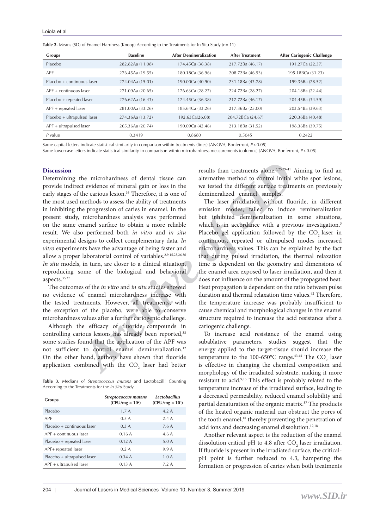| Table 2. Means (SD) of Enamel Hardness (Knoop) According to the Treatments for In Situ Study (n= 11) |
|------------------------------------------------------------------------------------------------------|
|------------------------------------------------------------------------------------------------------|

| Groups                      | <b>Baseline</b>  | <b>After Demineralization</b> | <b>After Treatment</b> | After Cariogenic Challenge |
|-----------------------------|------------------|-------------------------------|------------------------|----------------------------|
| Placebo                     | 282.82Aa (11.08) | 174.45Ca (36.38)              | 217.72Ba (46.17)       | 191.27Ca (22.37)           |
| APF                         | 276.45Aa (19.55) | 180.18Ca (36.96)              | 208.72Ba (46.53)       | 195.18BCa (31.23)          |
| Placebo + continuous laser  | 274.04Aa (15.01) | 190.00Ca (40.90)              | 231.18Ba (43.78)       | 199.36Ba (28.52)           |
| $APF +$ continuous laser    | 271.09Aa (20.65) | 176.63Ca (28.27)              | 224.72Ba (28.27)       | 204.18Ba (22.44)           |
| Placebo + repeated laser    | 276.62Aa (16.43) | 174.45Ca (36.38)              | 217.72Ba (46.17)       | 204.45Ba (34.59)           |
| $APF + repeated laser$      | 281.00Aa (33.26) | 185.64Ca (33.26)              | 217.36Ba (25.00)       | 203.54Ba (39.63)           |
| Placebo + ultrapulsed laser | 274.36Aa (13.72) | 192.63Ca(26.08)               | 204.72BCa (24.67)      | 220.36Ba (40.48)           |
| $APF + ultrapulsed laser$   | 265.36Aa (20.74) | 190.09Ca (42.46)              | 213.18Ba (31.52)       | 198.36Ba (39.75)           |
| $P$ value                   | 0.3419           | 0.8680                        | 0.5045                 | 0.2422                     |

Same capital letters indicate statistical similarity in comparison within treatments (lines) (ANOVA, Bonferroni, *P*<0.05).

Same lowercase letters indicate statistical similarity in comparison within microhardness measurements (columns) (ANOVA, Bonferroni,  $P < 0.05$ ).

#### **Discussion**

Determining the microhardness of dental tissue can provide indirect evidence of mineral gain or loss in the early stages of the carious lesion.<sup>35</sup> Therefore, it is one of the most used methods to assess the ability of treatments in inhibiting the progression of caries in enamel. In the present study, microhardness analysis was performed on the same enamel surface to obtain a more reliable result. We also performed both *in vitro* and *in situ* experimental designs to collect complementary data. *In vitro* experiments have the advantage of being faster and allow a proper laboratorial control of variables.<sup>2,9,15,23,26,36</sup> *In situ* models, in turn, are closer to a clinical situation, reproducing some of the biological and behavioral aspects.35,37

The outcomes of the *in vitro* and *in situ* studies showed no evidence of enamel microhardness increase with the tested treatments. However, all treatments, with the exception of the placebo, were able to conserve microhardness values after a further cariogenic challenge.

Although the efficacy of fluoride compounds in controlling carious lesions has already been reported,<sup>38</sup> some studies found that the application of the APF was not sufficient to control enamel demineralization.12 On the other hand, authors have shown that fluoride application combined with the  $CO_2$  laser had better

**Table 3.** Medians of *Streptococcus mutans* and Lactobacilli Counting According to the Treatments for the *In Situ* Study

| <b>Groups</b>               | <b>Streptococcus mutans</b><br>$(CFU/mg \times 10^2)$ | Lactobacillus<br>$(CFU/mg \times 10^4)$ |
|-----------------------------|-------------------------------------------------------|-----------------------------------------|
| Placebo                     | 1.7A                                                  | 4.2A                                    |
| APF                         | 0.5A                                                  | 2.4A                                    |
| Placebo + continuous laser  | 0.3A                                                  | 7.6 A                                   |
| $APF +$ continuous laser    | 0.16A                                                 | 4.6 A                                   |
| Placebo + repeated laser    | 0.12A                                                 | 5.0A                                    |
| APF+ repeated laser         | 0.2A                                                  | 9.9 A                                   |
| Placebo + ultrapulsed laser | 0.34A                                                 | 1.0A                                    |
| APF + ultrapulsed laser     | 0.13A                                                 | 7.2 A                                   |
|                             |                                                       |                                         |

results than treatments alone.3,25,39-41 Aiming to find an alternative method to control initial white spot lesions, we tested the different surface treatments on previously demineralized enamel samples.

 $\label{eq:2.1} \mbox{the microhardness of chiral tissue can be microhardness of the difference of mineral gain or loss in the  
the carious lesion.<sup>18</sup> Therefore, it is one of the differential sample. The  
the corresponding time or loss in the current. In the emission, the  
the two sets the ability of treatments. The laser irradiation without fluoroid  
meitends to assess the ability of treatments. The laser irradiation without fluoroid  
microandness analysis was performed but inhibited demimeralization in so  
the properties of obtain a more reliable  
which is, in accordance with a previous  
the same number of the other than the  
the effect of the interband state. In  
the two performance of the biological and behavioral control  
is, in turn, are closer to a clinical situation, the  
is a time of the biological state, and  
the named area exposed to laser irradiation  
to$ The laser irradiation without fluoride, in different emission modes, failed to induce remineralization but inhibited demineralization in some situations, which is in accordance with a previous investigation.<sup>3</sup> Placebo gel application followed by the CO<sub>2</sub> laser in continuous, repeated or ultrapulsed modes increased microhardness values. This can be explained by the fact that during pulsed irradiation, the thermal relaxation time is dependent on the geometry and dimensions of the enamel area exposed to laser irradiation, and then it does not influence on the amount of the propagated heat. Heat propagation is dependent on the ratio between pulse duration and thermal relaxation time values.42 Therefore, the temperature increase was probably insufficient to cause chemical and morphological changes in the enamel structure required to increase the acid resistance after a cariogenic challenge.

To increase acid resistance of the enamel using subablative parameters, studies suggest that the energy applied to the target-tissue should increase the temperature to the 100-650°C range.<sup>43,44</sup> The  $CO_2$  laser is effective in changing the chemical composition and morphology of the irradiated substrate, making it more resistant to acid.9,15 This effect is probably related to the temperature increase of the irradiated surface, leading to a decreased permeability, reduced enamel solubility and partial denaturation of the organic matrix.37 The products of the heated organic material can obstruct the pores of the tooth enamel,<sup>18</sup> thereby preventing the penetration of acid ions and decreasing enamel dissolution.<sup>12,18</sup>

Another relevant aspect is the reduction of the enamel dissolution critical pH to 4.8 after  $CO_2$  laser irradiation. If fluoride is present in the irradiated surface, the criticalpH point is further reduced to 4.3, hampering the formation or progression of caries when both treatments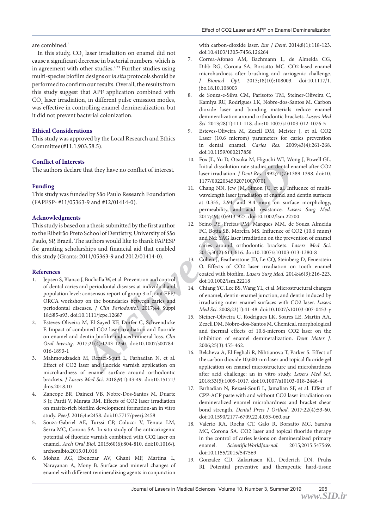#### are combined.<sup>6</sup>

In this study,  $CO<sub>2</sub>$  laser irradiation on enamel did not cause a significant decrease in bacterial numbers, which is in agreement with other studies.<sup>2,23</sup> Further studies using multi-species biofilm designs or *in situ* protocols should be performed to confirm our results. Overall, the results from this study suggest that APF application combined with  $\mathrm{CO}_2$  laser irradiation, in different pulse emission modes, was effective in controlling enamel demineralization, but it did not prevent bacterial colonization.

# **Ethical Considerations**

This study was approved by the Local Research and Ethics Committee (#11.1.903.58.5).

# **Conflict of Interests**

The authors declare that they have no conflict of interest.

# **Funding**

This study was funded by São Paulo Research Foundation (FAPESP- #11/05363-9 and #12/01414-0).

#### **Acknowledgments**

This study is based on a thesis submitted by the first author to the Ribeirão Preto School of Dentistry, University of São Paulo, SP, Brazil. The authors would like to thank FAPESP for granting scholarships and financial aid that enabled this study (Grants: 2011/05363-9 and 2012/01414-0).

#### **References**

- 1. Jepsen S, Blanco J, Buchalla W, et al. Prevention and control of dental caries and periodontal diseases at individual and population level: consensus report of group 3 of joint EFP/ ORCA workshop on the boundaries between caries and periodontal diseases. *J Clin Periodontol.* 2017;44 Suppl 18:S85-s93. doi:10.1111/jcpe.12687
- 2. Esteves-Oliveira M, El-Sayed KF, Dorfer C, Schwendicke F. Impact of combined CO2 laser irradiation and fluoride on enamel and dentin biofilm-induced mineral loss. *Clin Oral Investig*. 2017;21(4):1243-1250. doi:10.1007/s00784- 016-1893-1
- 3. Mahmoudzadeh M, Rezaei-Soufi L, Farhadian N, et al. Effect of CO2 laser and fluoride varnish application on microhardness of enamel surface around orthodontic brackets. *J Lasers Med Sci*. 2018;9(1):43-49. doi:10.15171/ jlms.2018.10
- 4. Zancope BR, Dainezi VB, Nobre-Dos-Santos M, Duarte S Jr, Pardi V, Murata RM. Effects of CO2 laser irradiation on matrix-rich biofilm development formation-an in vitro study. *PeerJ*. 2016;4:e2458. doi:10.7717/peerj.2458
- 5. Souza-Gabriel AE, Turssi CP, Colucci V, Tenuta LM, Serra MC, Corona SA. In situ study of the anticariogenic potential of fluoride varnish combined with CO2 laser on enamel. *Arch Oral Biol.* 2015;60(6):804-810. doi:10.1016/j. archoralbio.2015.01.016
- 6. Mohan AG, Ebenezar AV, Ghani MF, Martina L, Narayanan A, Mony B. Surface and mineral changes of enamel with different remineralizing agents in conjunction

with carbon-dioxide laser. *Eur J Dent*. 2014;8(1):118-123. doi:10.4103/1305-7456.126264

- 7. Correa-Afonso AM, Bachmann L, de Almeida CG, Dibb RG, Corona SA, Borsatto MC. CO2-lased enamel microhardness after brushing and cariogenic challenge. *J Biomed Opt.* 2013;18(10):108003. doi:10.1117/1. jbo.18.10.108003
- 8. de Souza-e-Silva CM, Parisotto TM, Steiner-Oliveira C, Kamiya RU, Rodrigues LK, Nobre-dos-Santos M. Carbon dioxide laser and bonding materials reduce enamel demineralization around orthodontic brackets. *Lasers Med Sci.* 2013;28(1):111-118. doi:10.1007/s10103-012-1076-5
- 9. Esteves-Oliveira M, Zezell DM, Meister J, et al. CO2 Laser (10.6 microm) parameters for caries prevention in dental enamel. *Caries Res.* 2009;43(4):261-268. doi:10.1159/000217858
- 10. Fox JL, Yu D, Otsuka M, Higuchi WI, Wong J, Powell GL. Initial dissolution rate studies on dental enamel after CO2 laser irradiation. *J Dent Res.* 1992;71(7):1389-1398. doi:10. 1177/00220345920710070701
- **Archive State 1988**<br> **Archive of SIDRAL CONFIGUES (1989)**<br> **Archive of SIDRAL CONFIGUES (1999)**<br> **Archive of SIDRAL CONFIGUES (1999)**<br> **Archive of SIDRAL CONFIGUES (1999)**<br> **Archive of SIDRAL CONFIGUES (1999)**<br> **Archive o** 11. Chang NN, Jew JM, Simon JC, et al. Influence of multiwavelength laser irradiation of enamel and dentin surfaces at 0.355, 2.94, and 9.4 mum on surface morphology, permeability, and acid resistance. *Lasers Surg Med.*  2017;49(10):913-927. doi:10.1002/lsm.22700
	- 12. Seino PY, Freitas PM, Marques MM, de Souza Almeida FC, Botta SB, Moreira MS. Influence of CO2 (10.6 mum) and Nd: YAG laser irradiation on the prevention of enamel caries around orthodontic brackets. *Lasers Med Sci.*  2015;30(2):611-616. doi:10.1007/s10103-013-1380-8
	- 13. Cohen J, Featherstone JD, Le CQ, Steinberg D, Feuerstein O. Effects of CO2 laser irradiation on tooth enamel coated with biofilm. *Lasers Surg Med.* 2014;46(3):216-223. doi:10.1002/lsm.22218
	- 14. Chiang YC, Lee BS, Wang YL, et al. Microstructural changes of enamel, dentin-enamel junction, and dentin induced by irradiating outer enamel surfaces with CO2 laser. *Lasers Med Sci.* 2008;23(1):41-48. doi:10.1007/s10103-007-0453-y
	- 15. Steiner-Oliveira C, Rodrigues LK, Soares LE, Martin AA, Zezell DM, Nobre-dos-Santos M. Chemical, morphological and thermal effects of 10.6-microm CO2 laser on the inhibition of enamel demineralization. *Dent Mater J.*  2006;25(3):455-462.
	- 16. Belcheva A, El Feghali R, Nihtianova T, Parker S. Effect of the carbon dioxide 10,600-nm laser and topical fluoride gel application on enamel microstructure and microhardness after acid challenge: an in vitro study. *Lasers Med Sci*. 2018;33(5):1009-1017. doi:10.1007/s10103-018-2446-4
	- 17. Farhadian N, Rezaei-Soufi L, Jamalian SF, et al. Effect of CPP-ACP paste with and without CO2 laser irradiation on demineralized enamel microhardness and bracket shear bond strength. *Dental Press J Orthod.* 2017;22(4):53-60. doi:10.1590/2177-6709.22.4.053-060.oar
	- 18. Valerio RA, Rocha CT, Galo R, Borsatto MC, Saraiva MC, Corona SA. CO2 laser and topical fluoride therapy in the control of caries lesions on demineralized primary enamel. *ScientificWorldJournal.* 2015;2015:547569. doi:10.1155/2015/547569
	- 19. Gonzalez CD, Zakariasen KL, Dederich DN, Pruhs RJ. Potential preventive and therapeutic hard-tissue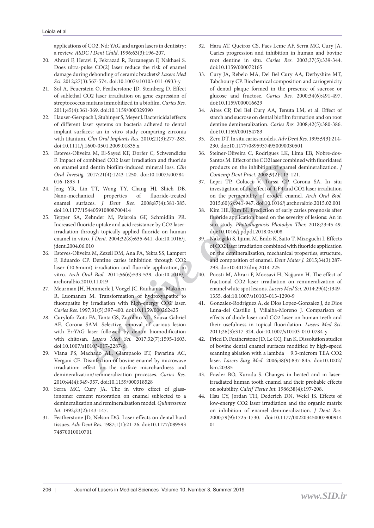applications of CO2, Nd: YAG and argon lasers in dentistry: a review. *ASDC J Dent Child*. 1996;63(3):196-207.

- 20. Ahrari F, Heravi F, Fekrazad R, Farzanegan F, Nakhaei S. Does ultra-pulse CO(2) laser reduce the risk of enamel damage during debonding of ceramic brackets? *Lasers Med Sci.* 2012;27(3):567-574. doi:10.1007/s10103-011-0933-y
- 21. Sol A, Feuerstein O, Featherstone JD, Steinberg D. Effect of sublethal CO2 laser irradiation on gene expression of streptococcus mutans immobilized in a biofilm. *Caries Res.* 2011;45(4):361-369. doi:10.1159/000329390
- 22. Hauser-Gerspach I, Stubinger S, Meyer J. Bactericidal effects of different laser systems on bacteria adhered to dental implant surfaces: an in vitro study comparing zirconia with titanium. *Clin Oral Implants Res*. 2010;21(3):277-283. doi:10.1111/j.1600-0501.2009.01835.x
- 23. Esteves-Oliveira M, El-Sayed KF, Dorfer C, Schwendicke F. Impact of combined CO2 laser irradiation and fluoride on enamel and dentin biofilm-induced mineral loss. *Clin Oral Investig.* 2017;21(4):1243-1250. doi:10.1007/s00784- 016-1893-1
- 24. Jeng YR, Lin TT, Wong TY, Chang HJ, Shieh DB. Nano-mechanical properties of fluoride-treated enamel surfaces. *J Dent Res.* 2008;87(4):381-385. doi:10.1177/154405910808700414
- From the the sample and a mail of the sample of Sample of Sample and dentin biofilm-induced minreal loss. *Clin*<br> *Archive of Sample Part Pack 2008990,911-21.*<br> *Archive of Sample Part Pack 2008990,911-21.*<br> *Archive of S* 25. Tepper SA, Zehnder M, Pajarola GF, Schmidlin PR. Increased fluoride uptake and acid resistance by CO2 laserirradiation through topically applied fluoride on human enamel in vitro. *J Dent.* 2004;32(8):635-641. doi:10.1016/j. jdent.2004.06.010
- 26. Esteves-Oliveira M, Zezell DM, Ana PA, Yekta SS, Lampert F, Eduardo CP. Dentine caries inhibition through CO2 laser (10.6mum) irradiation and fluoride application, in vitro. *Arch Oral Biol.* 2011;56(6):533-539. doi:10.1016/j. archoralbio.2010.11.019
- 27. Meurman JH, Hemmerle J, Voegel JC, Rauhamaa-Makinen R, Luomanen M. Transformation of hydroxyapatite to fluorapatite by irradiation with high-energy CO2 laser. *Caries Res.* 1997;31(5):397-400. doi:10.1159/000262425
- 28. Curylofo-Zotti FA, Tanta GS, Zucoloto ML, Souza-Gabriel AE, Corona SAM. Selective removal of carious lesion with Er:YAG laser followed by dentin biomodification with chitosan. *Lasers Med Sci.* 2017;32(7):1595-1603. doi:10.1007/s10103-017-2287-6
- 29. Viana PS, Machado AL, Giampaolo ET, Pavarina AC, Vergani CE. Disinfection of bovine enamel by microwave irradiation: effect on the surface microhardness and demineralization/remineralization processes. *Caries Res.*  2010;44(4):349-357. doi:10.1159/000318528
- 30. Serra MC, Cury JA. The in vitro effect of glassionomer cement restoration on enamel subjected to a demineralization and remineralization model. *Quintessence Int.* 1992;23(2):143-147.
- 31. Featherstone JD, Nelson DG. Laser effects on dental hard tissues. *Adv Dent Res*. 1987;1(1):21-26. doi:10.1177/089593 74870010010701
- 32. Hara AT, Queiroz CS, Paes Leme AF, Serra MC, Cury JA. Caries progression and inhibition in human and bovine root dentine in situ. *Caries Res.* 2003;37(5):339-344. doi:10.1159/000072165
- 33. Cury JA, Rebelo MA, Del Bel Cury AA, Derbyshire MT, Tabchoury CP. Biochemical composition and cariogenicity of dental plaque formed in the presence of sucrose or glucose and fructose. *Caries Res.* 2000;34(6):491-497. doi:10.1159/000016629
- 34. Aires CP, Del Bel Cury AA, Tenuta LM, et al. Effect of starch and sucrose on dental biofilm formation and on root dentine demineralization. *Caries Res.* 2008;42(5):380-386. doi:10.1159/000154783
- 35. Zero DT. In situ caries models. *Adv Dent Res*. 1995;9(3):214- 230. doi:10.1177/08959374950090030501
- 36. Steiner-Oliveira C, Rodrigues LK, Lima EB, Nobre-dos-Santos M. Effect of the CO2 laser combined with fluoridated products on the inhibition of enamel demineralization. *J Contemp Dent Pract.* 2008;9(2):113-121.
- 37. Lepri TP, Colucci V, Turssi CP, Corona SA. In situ investigation of the effect of TiF4 and CO2 laser irradiation on the permeability of eroded enamel. *Arch Oral Biol.*  2015;60(6):941-947. doi:10.1016/j.archoralbio.2015.02.001
- 38. Kim HE, Kim BI. Prediction of early caries prognosis after fluoride application based on the severity of lesions: An in situ study. *Photodiagnosis Photodyn Ther.* 2018;23:45-49. doi:10.1016/j.pdpdt.2018.05.008
- 39. Nakagaki S, Iijima M, Endo K, Saito T, Mizoguchi I. Effects of CO2 laser irradiation combined with fluoride application on the demineralization, mechanical properties, structure, and composition of enamel. *Dent Mater J.* 2015;34(3):287- 293. doi:10.4012/dmj.2014-225
- 40. Poosti M, Ahrari F, Moosavi H, Najjaran H. The effect of fractional CO2 laser irradiation on remineralization of enamel white spot lesions. *Lasers Med Sci.* 2014;29(4):1349- 1355. doi:10.1007/s10103-013-1290-9
- 41. Gonzalez-Rodriguez A, de Dios Lopez-Gonzalez J, de Dios Luna-del Castillo J, Villalba-Moreno J. Comparison of effects of diode laser and CO2 laser on human teeth and their usefulness in topical fluoridation. *Lasers Med Sci*. 2011;26(3):317-324. doi:10.1007/s10103-010-0784-y
- 42. Fried D, Featherstone JD, Le CQ, Fan K. Dissolution studies of bovine dental enamel surfaces modified by high-speed scanning ablation with a lambda = 9.3-microm TEA CO2 laser. *Lasers Surg Med*. 2006;38(9):837-845. doi:10.1002/ lsm.20385
- 43. Fowler BO, Kuroda S. Changes in heated and in laserirradiated human tooth enamel and their probable effects on solubility. *Calcif Tissue Int.* 1986;38(4):197-208.
- 44. Hsu CY, Jordan TH, Dederich DN, Wefel JS. Effects of low-energy CO2 laser irradiation and the organic matrix on inhibition of enamel demineralization. *J Dent Res.*  2000;79(9):1725-1730. doi:10.1177/002203450007900914  $0<sub>1</sub>$